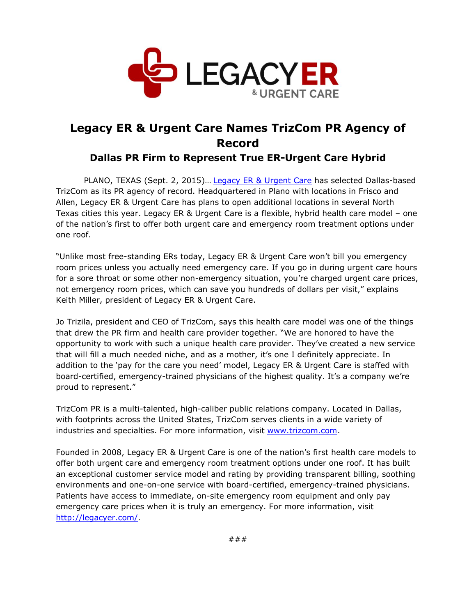

## **Legacy ER & Urgent Care Names TrizCom PR Agency of Record**

**Dallas PR Firm to Represent True ER-Urgent Care Hybrid**

PLANO, TEXAS (Sept. 2, 2015)… [Legacy ER & Urgent Care](http://legacyer.com/) has selected Dallas-based TrizCom as its PR agency of record. Headquartered in Plano with locations in Frisco and Allen, Legacy ER & Urgent Care has plans to open additional locations in several North Texas cities this year. Legacy ER & Urgent Care is a flexible, hybrid health care model – one of the nation's first to offer both urgent care and emergency room treatment options under one roof.

"Unlike most free-standing ERs today, Legacy ER & Urgent Care won't bill you emergency room prices unless you actually need emergency care. If you go in during urgent care hours for a sore throat or some other non-emergency situation, you're charged urgent care prices, not emergency room prices, which can save you hundreds of dollars per visit," explains Keith Miller, president of Legacy ER & Urgent Care.

Jo Trizila, president and CEO of TrizCom, says this health care model was one of the things that drew the PR firm and health care provider together. "We are honored to have the opportunity to work with such a unique health care provider. They've created a new service that will fill a much needed niche, and as a mother, it's one I definitely appreciate. In addition to the 'pay for the care you need' model, Legacy ER & Urgent Care is staffed with board-certified, emergency-trained physicians of the highest quality. It's a company we're proud to represent."

TrizCom PR is a multi-talented, high-caliber public relations company. Located in Dallas, with footprints across the United States, TrizCom serves clients in a wide variety of industries and specialties. For more information, visit [www.trizcom.com.](http://www.trizcom.com/)

Founded in 2008, Legacy ER & Urgent Care is one of the nation's first health care models to offer both urgent care and emergency room treatment options under one roof. It has built an exceptional customer service model and rating by providing transparent billing, soothing environments and one-on-one service with board-certified, emergency-trained physicians. Patients have access to immediate, on-site emergency room equipment and only pay emergency care prices when it is truly an emergency. For more information, visit [http://legacyer.com/.](http://legacyer.com/)